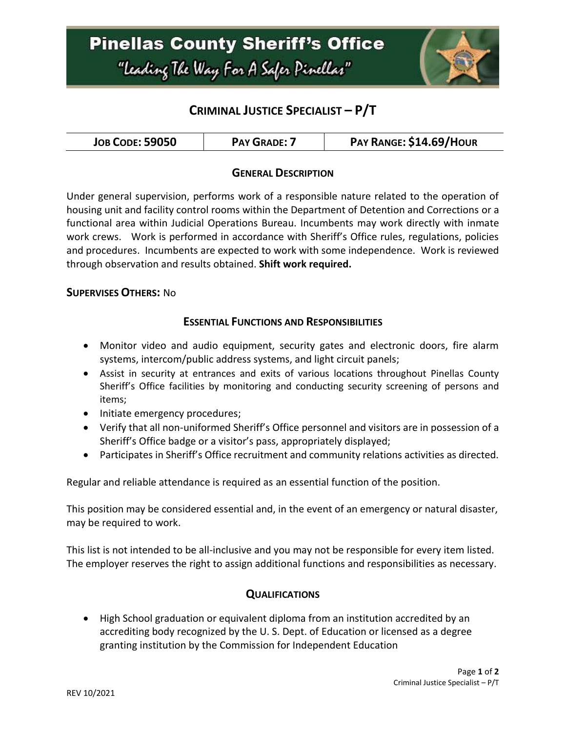

# **CRIMINAL JUSTICE SPECIALIST – P/T**

| <b>JOB CODE: 59050</b><br><b>PAY GRADE: 7</b> | PAY RANGE: \$14.69/HOUR |
|-----------------------------------------------|-------------------------|
|-----------------------------------------------|-------------------------|

#### **GENERAL DESCRIPTION**

Under general supervision, performs work of a responsible nature related to the operation of housing unit and facility control rooms within the Department of Detention and Corrections or a functional area within Judicial Operations Bureau. Incumbents may work directly with inmate work crews. Work is performed in accordance with Sheriff's Office rules, regulations, policies and procedures. Incumbents are expected to work with some independence. Work is reviewed through observation and results obtained. **Shift work required.**

#### **SUPERVISES OTHERS:** No

#### **ESSENTIAL FUNCTIONS AND RESPONSIBILITIES**

- Monitor video and audio equipment, security gates and electronic doors, fire alarm systems, intercom/public address systems, and light circuit panels;
- Assist in security at entrances and exits of various locations throughout Pinellas County Sheriff's Office facilities by monitoring and conducting security screening of persons and items;
- Initiate emergency procedures;
- Verify that all non-uniformed Sheriff's Office personnel and visitors are in possession of a Sheriff's Office badge or a visitor's pass, appropriately displayed;
- Participates in Sheriff's Office recruitment and community relations activities as directed.

Regular and reliable attendance is required as an essential function of the position.

This position may be considered essential and, in the event of an emergency or natural disaster, may be required to work.

This list is not intended to be all-inclusive and you may not be responsible for every item listed. The employer reserves the right to assign additional functions and responsibilities as necessary.

#### **QUALIFICATIONS**

 High School graduation or equivalent diploma from an institution accredited by an accrediting body recognized by the U. S. Dept. of Education or licensed as a degree granting institution by the Commission for Independent Education